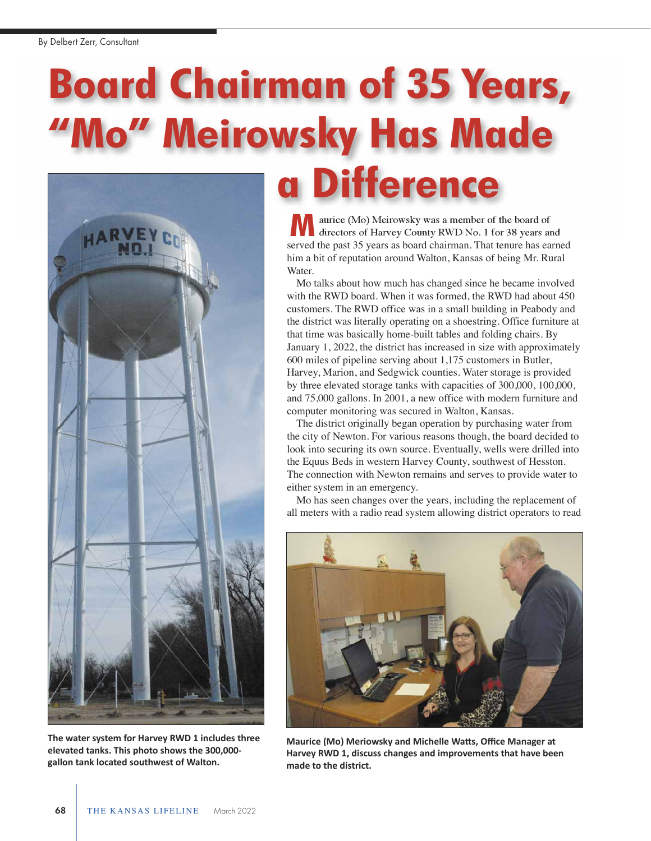## **Board Chairman of 35 Years, "Mo" Meirowsky Has Made**



**The water system for Harvey RWD 1 includes three elevated tanks. This photo shows the 300,000 gallon tank located southwest of Walton.**

aurice (Mo) Meirowsky was a member of the board of **a Difference M**

directors of Harvey County RWD No. 1 for 38 years and served the past 35 years as board chairman. That tenure has earned him a bit of reputation around Walton, Kansas of being Mr. Rural Water.

Mo talks about how much has changed since he became involved with the RWD board. When it was formed, the RWD had about 450 customers. The RWD office was in a small building in Peabody and the district was literally operating on a shoestring. Office furniture at that time was basically home-built tables and folding chairs. By January 1, 2022, the district has increased in size with approximately 600 miles of pipeline serving about 1,175 customers in Butler, Harvey, Marion, and Sedgwick counties. Water storage is provided by three elevated storage tanks with capacities of 300,000, 100,000, and 75,000 gallons. In 2001, a new office with modern furniture and computer monitoring was secured in Walton, Kansas.

The district originally began operation by purchasing water from the city of Newton. For various reasons though, the board decided to look into securing its own source. Eventually, wells were drilled into the Equus Beds in western Harvey County, southwest of Hesston. The connection with Newton remains and serves to provide water to either system in an emergency.

Mo has seen changes over the years, including the replacement of all meters with a radio read system allowing district operators to read



**Maurice (Mo) Meriowsky and Michelle Watts, Office Manager at Harvey RWD 1, discuss changes and improvements that have been made to the district.**